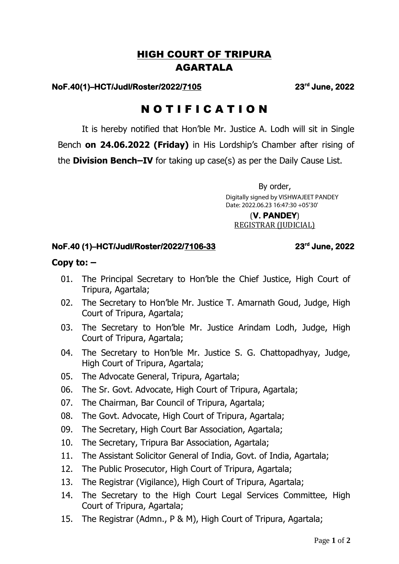# HIGH COURT OF TRIPURA AGARTALA

## **NoF.40(1)–HCT/Judl/Roster/2022/7105 23rd**

#### **June, 2022**

# N O T I F I C A T I O N

It is hereby notified that Hon'ble Mr. Justice A. Lodh will sit in Single Bench **on 24.06.2022 (Friday)** in His Lordship's Chamber after rising of the **Division Bench–IV** for taking up case(s) as per the Daily Cause List.

> By order, Digitally signed by VISHWAJEET PANDEY Date: 2022.06.23 16:47:30 +05'30'

(**V. PANDEY**) REGISTRAR (JUDICIAL)

### **NoF.40 (1)–HCT/Judl/Roster/2022/7106-33 23rd**

 **June, 2022** 

## **Copy to: –**

- 01. The Principal Secretary to Hon'ble the Chief Justice, High Court of Tripura, Agartala;
- 02. The Secretary to Hon'ble Mr. Justice T. Amarnath Goud, Judge, High Court of Tripura, Agartala;
- 03. The Secretary to Hon'ble Mr. Justice Arindam Lodh, Judge, High Court of Tripura, Agartala;
- 04. The Secretary to Hon'ble Mr. Justice S. G. Chattopadhyay, Judge, High Court of Tripura, Agartala;
- 05. The Advocate General, Tripura, Agartala;
- 06. The Sr. Govt. Advocate, High Court of Tripura, Agartala;
- 07. The Chairman, Bar Council of Tripura, Agartala;
- 08. The Govt. Advocate, High Court of Tripura, Agartala;
- 09. The Secretary, High Court Bar Association, Agartala;
- 10. The Secretary, Tripura Bar Association, Agartala;
- 11. The Assistant Solicitor General of India, Govt. of India, Agartala;
- 12. The Public Prosecutor, High Court of Tripura, Agartala;
- 13. The Registrar (Vigilance), High Court of Tripura, Agartala;
- 14. The Secretary to the High Court Legal Services Committee, High Court of Tripura, Agartala;
- 15. The Registrar (Admn., P & M), High Court of Tripura, Agartala;